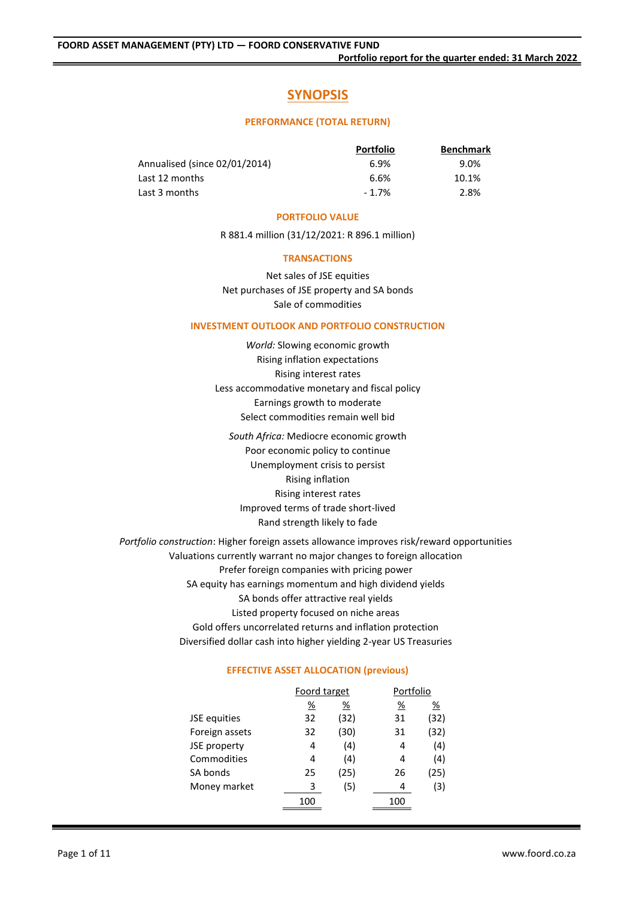# **SYNOPSIS**

#### **PERFORMANCE (TOTAL RETURN)**

|                               | <b>Portfolio</b> | <b>Benchmark</b> |
|-------------------------------|------------------|------------------|
| Annualised (since 02/01/2014) | 6.9%             | 9.0%             |
| Last 12 months                | 6.6%             | 10.1%            |
| Last 3 months                 | $-1.7%$          | 2.8%             |

#### **PORTFOLIO VALUE**

R 881.4 million (31/12/2021: R 896.1 million)

#### **TRANSACTIONS**

Net sales of JSE equities Net purchases of JSE property and SA bonds Sale of commodities

#### **INVESTMENT OUTLOOK AND PORTFOLIO CONSTRUCTION**

*World:* Slowing economic growth Rising inflation expectations Rising interest rates Less accommodative monetary and fiscal policy Earnings growth to moderate Select commodities remain well bid

*South Africa:* Mediocre economic growth Poor economic policy to continue Unemployment crisis to persist Rising inflation Rising interest rates Improved terms of trade short-lived Rand strength likely to fade

*Portfolio construction*: Higher foreign assets allowance improves risk/reward opportunities Valuations currently warrant no major changes to foreign allocation Prefer foreign companies with pricing power SA equity has earnings momentum and high dividend yields SA bonds offer attractive real yields Listed property focused on niche areas Gold offers uncorrelated returns and inflation protection Diversified dollar cash into higher yielding 2-year US Treasuries

#### **EFFECTIVE ASSET ALLOCATION (previous)**

|                | Foord target |      | Portfolio |      |  |
|----------------|--------------|------|-----------|------|--|
|                | %            | %    | %         | %    |  |
| JSE equities   | 32           | (32) | 31        | (32) |  |
| Foreign assets | 32           | (30) | 31        | (32) |  |
| JSE property   | 4            | (4)  | 4         | (4)  |  |
| Commodities    | 4            | (4)  | 4         | (4)  |  |
| SA bonds       | 25           | (25) | 26        | (25) |  |
| Money market   | 3            | (5)  | 4         | (3)  |  |
|                | 100          |      | 100       |      |  |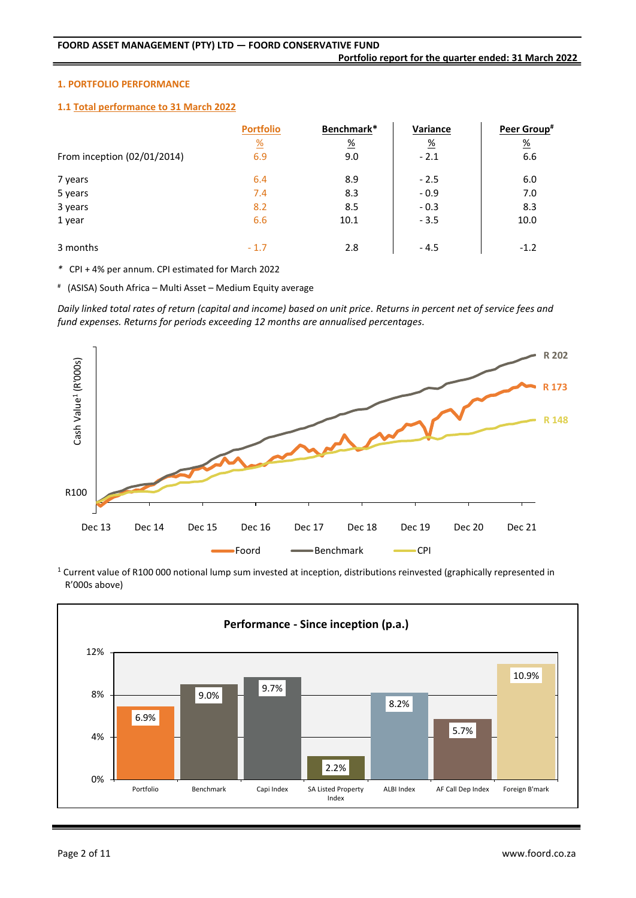#### **1. PORTFOLIO PERFORMANCE**

#### **1.1 Total performance to 31 March 2022**

|                             | <b>Portfolio</b>      | Benchmark*    | Variance      | Peer Group#   |
|-----------------------------|-----------------------|---------------|---------------|---------------|
|                             | $\frac{\%}{\sqrt{2}}$ | $\frac{9}{6}$ | $\frac{9}{6}$ | $\frac{9}{6}$ |
| From inception (02/01/2014) | 6.9                   | 9.0           | $-2.1$        | 6.6           |
| 7 years                     | 6.4                   | 8.9           | $-2.5$        | 6.0           |
| 5 years                     | 7.4                   | 8.3           | $-0.9$        | 7.0           |
| 3 years                     | 8.2                   | 8.5           | $-0.3$        | 8.3           |
| 1 year                      | 6.6                   | 10.1          | $-3.5$        | 10.0          |
| 3 months                    | $-1.7$                | 2.8           | $-4.5$        | $-1.2$        |

*\** CPI + 4% per annum. CPI estimated for March 2022

# (ASISA) South Africa – Multi Asset – Medium Equity average

*Daily linked total rates of return (capital and income) based on unit price. Returns in percent net of service fees and fund expenses. Returns for periods exceeding 12 months are annualised percentages.*



<sup>1</sup> Current value of R100 000 notional lump sum invested at inception, distributions reinvested (graphically represented in R'000s above)

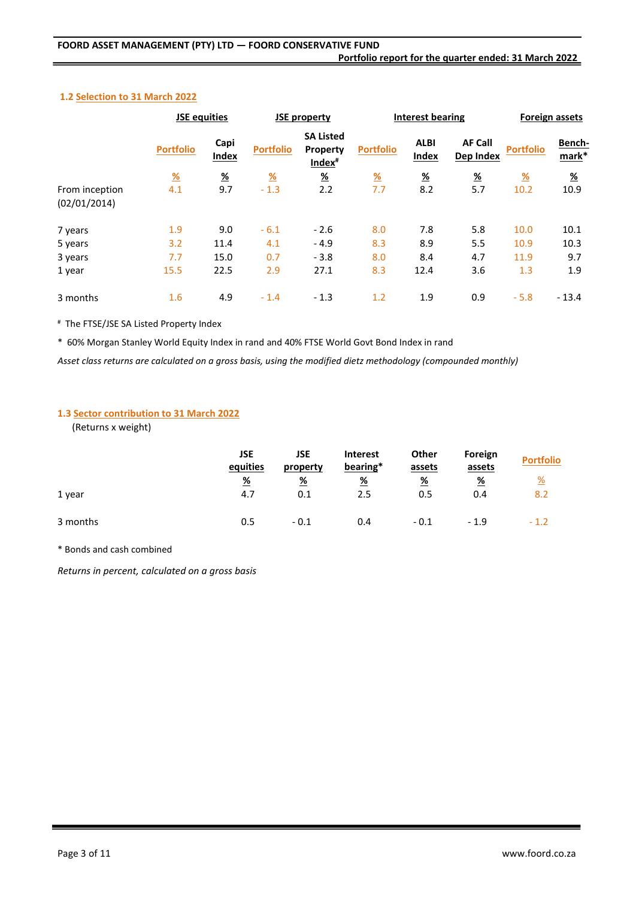## **Portfolio report for the quarter ended: 31 March 2022**

#### **1.2 Selection to 31 March 2022**

|                                | <b>JSE equities</b> |               |                  | <b>JSE property</b>                                |                  | <b>Interest bearing</b> |                             | Foreign assets   |                 |
|--------------------------------|---------------------|---------------|------------------|----------------------------------------------------|------------------|-------------------------|-----------------------------|------------------|-----------------|
|                                | <b>Portfolio</b>    | Capi<br>Index | <b>Portfolio</b> | <b>SA Listed</b><br>Property<br>Index <sup>#</sup> | <b>Portfolio</b> | <b>ALBI</b><br>Index    | <b>AF Call</b><br>Dep Index | <b>Portfolio</b> | Bench-<br>mark* |
|                                | $\frac{9}{6}$       | $\frac{9}{6}$ | <u>%</u>         | $\frac{9}{6}$                                      | $\frac{9}{6}$    | <u>%</u>                | $\frac{9}{6}$               | $\frac{9}{6}$    | <u>%</u>        |
| From inception<br>(02/01/2014) | 4.1                 | 9.7           | $-1.3$           | 2.2                                                | 7.7              | 8.2                     | 5.7                         | 10.2             | 10.9            |
| 7 years                        | 1.9                 | 9.0           | $-6.1$           | $-2.6$                                             | 8.0              | 7.8                     | 5.8                         | 10.0             | 10.1            |
| 5 years                        | 3.2                 | 11.4          | 4.1              | $-4.9$                                             | 8.3              | 8.9                     | 5.5                         | 10.9             | 10.3            |
| 3 years                        | 7.7                 | 15.0          | 0.7              | $-3.8$                                             | 8.0              | 8.4                     | 4.7                         | 11.9             | 9.7             |
| 1 year                         | 15.5                | 22.5          | 2.9              | 27.1                                               | 8.3              | 12.4                    | 3.6                         | 1.3              | 1.9             |
| 3 months                       | 1.6                 | 4.9           | $-1.4$           | $-1.3$                                             | 1.2              | 1.9                     | 0.9                         | $-5.8$           | $-13.4$         |

# The FTSE/JSE SA Listed Property Index

\* 60% Morgan Stanley World Equity Index in rand and 40% FTSE World Govt Bond Index in rand

*Asset class returns are calculated on a gross basis, using the modified dietz methodology (compounded monthly)*

## **1.3 Sector contribution to 31 March 2022**

(Returns x weight)

|          | JSE<br>equities | JSE<br>property | <b>Interest</b><br>bearing* | <b>Other</b><br>assets | Foreign<br>assets | <b>Portfolio</b>      |
|----------|-----------------|-----------------|-----------------------------|------------------------|-------------------|-----------------------|
|          | <u>%</u>        | $\frac{9}{6}$   | $\frac{9}{6}$               | <u>%</u>               | $\frac{9}{6}$     | $\frac{\%}{\sqrt{2}}$ |
| 1 year   | 4.7             | 0.1             | 2.5                         | 0.5                    | 0.4               | 8.2                   |
| 3 months | 0.5             | $-0.1$          | 0.4                         | $-0.1$                 | $-1.9$            | $-1.2$                |

\* Bonds and cash combined

*Returns in percent, calculated on a gross basis*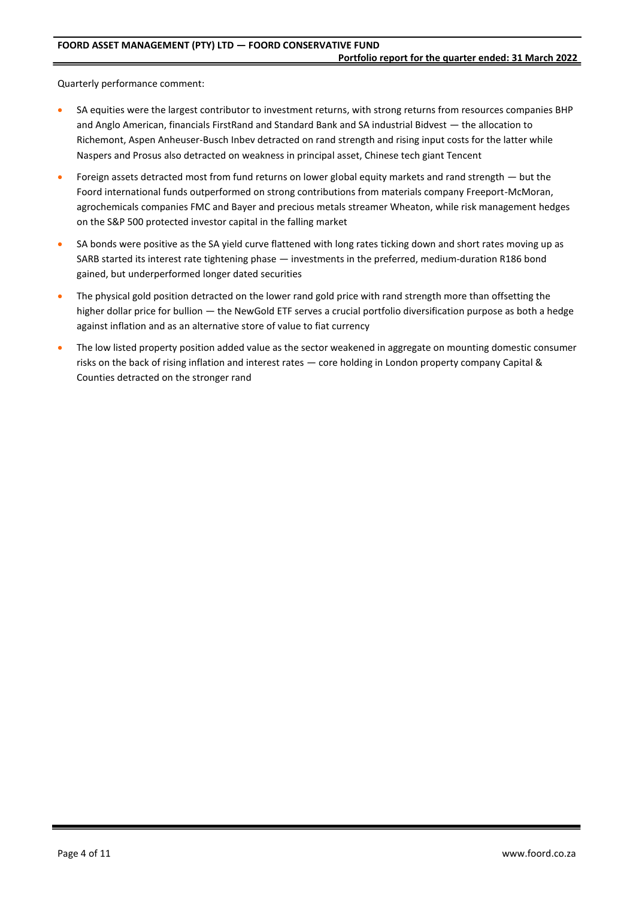Quarterly performance comment:

- SA equities were the largest contributor to investment returns, with strong returns from resources companies BHP and Anglo American, financials FirstRand and Standard Bank and SA industrial Bidvest — the allocation to Richemont, Aspen Anheuser-Busch Inbev detracted on rand strength and rising input costs for the latter while Naspers and Prosus also detracted on weakness in principal asset, Chinese tech giant Tencent
- Foreign assets detracted most from fund returns on lower global equity markets and rand strength but the Foord international funds outperformed on strong contributions from materials company Freeport-McMoran, agrochemicals companies FMC and Bayer and precious metals streamer Wheaton, while risk management hedges on the S&P 500 protected investor capital in the falling market
- SA bonds were positive as the SA yield curve flattened with long rates ticking down and short rates moving up as SARB started its interest rate tightening phase — investments in the preferred, medium-duration R186 bond gained, but underperformed longer dated securities
- The physical gold position detracted on the lower rand gold price with rand strength more than offsetting the higher dollar price for bullion — the NewGold ETF serves a crucial portfolio diversification purpose as both a hedge against inflation and as an alternative store of value to fiat currency
- The low listed property position added value as the sector weakened in aggregate on mounting domestic consumer risks on the back of rising inflation and interest rates — core holding in London property company Capital & Counties detracted on the stronger rand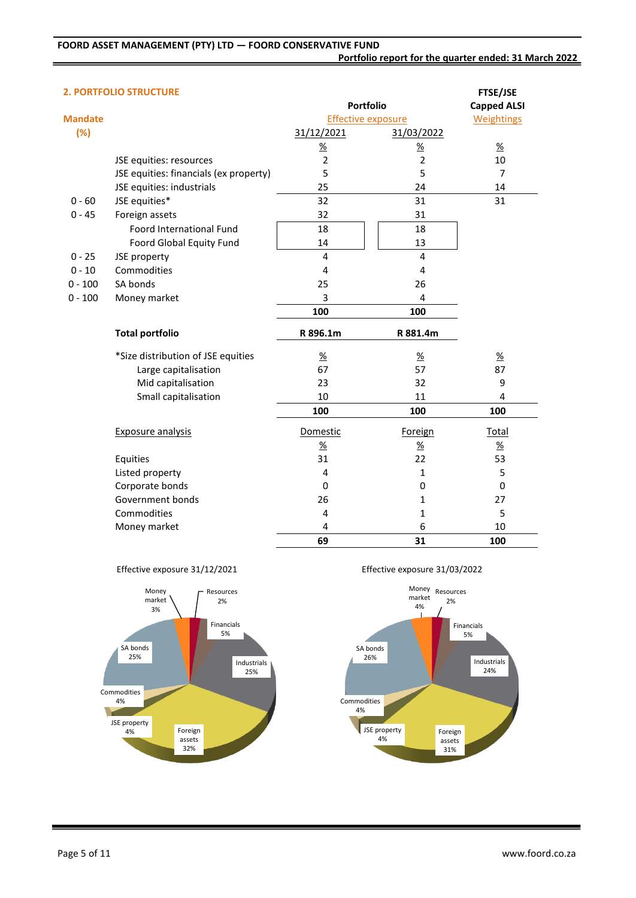|  |  | <b>2. PORTFOLIO STRUCTURE</b> |  |
|--|--|-------------------------------|--|
|  |  |                               |  |

| 2. PORTFOLIO STRUCTURE                 |                |                 | <b>FTSE/JSE</b>                               |
|----------------------------------------|----------------|-----------------|-----------------------------------------------|
|                                        |                |                 | <b>Capped ALSI</b>                            |
|                                        |                |                 | <b>Weightings</b>                             |
|                                        | 31/12/2021     | 31/03/2022      |                                               |
|                                        | $\frac{9}{6}$  | $\frac{\%}{\%}$ | $\frac{9}{6}$                                 |
| JSE equities: resources                | $\overline{2}$ | $\overline{2}$  | 10                                            |
| JSE equities: financials (ex property) | 5              | 5               | $\overline{7}$                                |
| JSE equities: industrials              | 25             | 24              | 14                                            |
| JSE equities*                          | 32             | 31              | 31                                            |
| Foreign assets                         | 32             | 31              |                                               |
| Foord International Fund               | 18             | 18              |                                               |
| Foord Global Equity Fund               | 14             | 13              |                                               |
| JSE property                           | 4              | 4               |                                               |
| Commodities                            | 4              | 4               |                                               |
| SA bonds                               | 25             | 26              |                                               |
| Money market                           | 3              | 4               |                                               |
|                                        | 100            | 100             |                                               |
| <b>Total portfolio</b>                 | R 896.1m       | R 881.4m        |                                               |
| *Size distribution of JSE equities     | $\frac{9}{6}$  | $\frac{9}{6}$   | $\frac{9}{6}$                                 |
| Large capitalisation                   | 67             | 57              | 87                                            |
| Mid capitalisation                     | 23             | 32              | 9                                             |
|                                        |                |                 |                                               |
| Small capitalisation                   | $10\,$         | 11              | 4                                             |
|                                        | 100            | 100             | 100                                           |
| <b>Exposure analysis</b>               | Domestic       | Foreign         | Total                                         |
|                                        | $\frac{9}{6}$  | $\frac{9}{6}$   | $\frac{\%}{\%}$                               |
| Equities                               | 31             | 22              | 53                                            |
| Listed property                        | 4              | $\mathbf{1}$    | 5                                             |
| Corporate bonds                        | 0              | 0               | $\Omega$                                      |
| Government bonds                       | 26             | $\mathbf{1}$    | 27                                            |
| Commodities                            | 4              | $\mathbf 1$     | 5                                             |
| Money market                           | 4              | 6               | 10                                            |
|                                        |                |                 | <b>Portfolio</b><br><b>Effective exposure</b> |





Effective exposure 31/03/2022

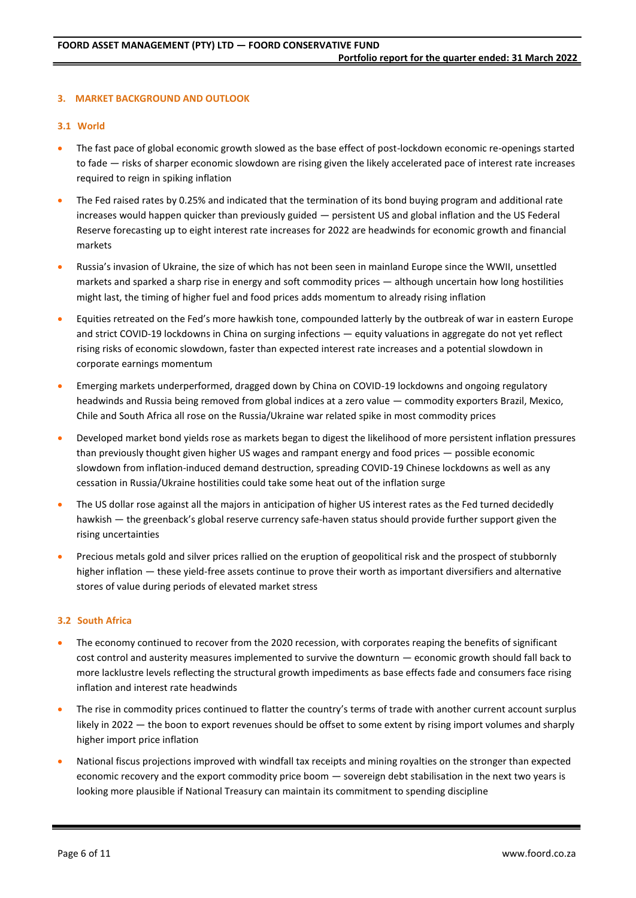## **3. MARKET BACKGROUND AND OUTLOOK**

#### **3.1 World**

- The fast pace of global economic growth slowed as the base effect of post-lockdown economic re-openings started to fade — risks of sharper economic slowdown are rising given the likely accelerated pace of interest rate increases required to reign in spiking inflation
- The Fed raised rates by 0.25% and indicated that the termination of its bond buying program and additional rate increases would happen quicker than previously guided — persistent US and global inflation and the US Federal Reserve forecasting up to eight interest rate increases for 2022 are headwinds for economic growth and financial markets
- Russia's invasion of Ukraine, the size of which has not been seen in mainland Europe since the WWII, unsettled markets and sparked a sharp rise in energy and soft commodity prices — although uncertain how long hostilities might last, the timing of higher fuel and food prices adds momentum to already rising inflation
- Equities retreated on the Fed's more hawkish tone, compounded latterly by the outbreak of war in eastern Europe and strict COVID-19 lockdowns in China on surging infections — equity valuations in aggregate do not yet reflect rising risks of economic slowdown, faster than expected interest rate increases and a potential slowdown in corporate earnings momentum
- Emerging markets underperformed, dragged down by China on COVID-19 lockdowns and ongoing regulatory headwinds and Russia being removed from global indices at a zero value — commodity exporters Brazil, Mexico, Chile and South Africa all rose on the Russia/Ukraine war related spike in most commodity prices
- Developed market bond yields rose as markets began to digest the likelihood of more persistent inflation pressures than previously thought given higher US wages and rampant energy and food prices — possible economic slowdown from inflation-induced demand destruction, spreading COVID-19 Chinese lockdowns as well as any cessation in Russia/Ukraine hostilities could take some heat out of the inflation surge
- The US dollar rose against all the majors in anticipation of higher US interest rates as the Fed turned decidedly hawkish — the greenback's global reserve currency safe-haven status should provide further support given the rising uncertainties
- Precious metals gold and silver prices rallied on the eruption of geopolitical risk and the prospect of stubbornly higher inflation — these yield-free assets continue to prove their worth as important diversifiers and alternative stores of value during periods of elevated market stress

#### **3.2 South Africa**

- The economy continued to recover from the 2020 recession, with corporates reaping the benefits of significant cost control and austerity measures implemented to survive the downturn — economic growth should fall back to more lacklustre levels reflecting the structural growth impediments as base effects fade and consumers face rising inflation and interest rate headwinds
- The rise in commodity prices continued to flatter the country's terms of trade with another current account surplus likely in 2022 — the boon to export revenues should be offset to some extent by rising import volumes and sharply higher import price inflation
- National fiscus projections improved with windfall tax receipts and mining royalties on the stronger than expected economic recovery and the export commodity price boom — sovereign debt stabilisation in the next two years is looking more plausible if National Treasury can maintain its commitment to spending discipline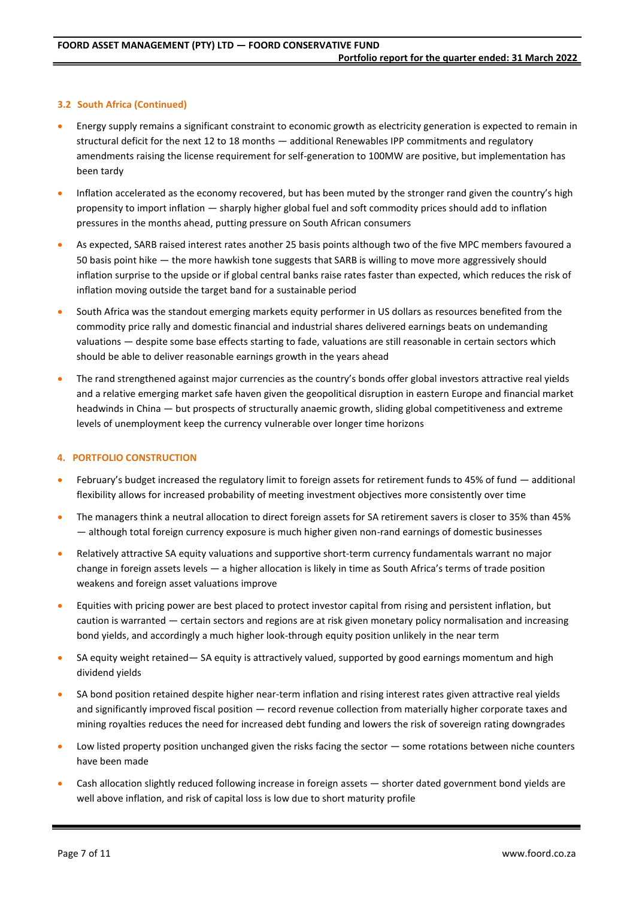## **3.2 South Africa (Continued)**

- Energy supply remains a significant constraint to economic growth as electricity generation is expected to remain in structural deficit for the next 12 to 18 months — additional Renewables IPP commitments and regulatory amendments raising the license requirement for self-generation to 100MW are positive, but implementation has been tardy
- Inflation accelerated as the economy recovered, but has been muted by the stronger rand given the country's high propensity to import inflation — sharply higher global fuel and soft commodity prices should add to inflation pressures in the months ahead, putting pressure on South African consumers
- As expected, SARB raised interest rates another 25 basis points although two of the five MPC members favoured a 50 basis point hike — the more hawkish tone suggests that SARB is willing to move more aggressively should inflation surprise to the upside or if global central banks raise rates faster than expected, which reduces the risk of inflation moving outside the target band for a sustainable period
- South Africa was the standout emerging markets equity performer in US dollars as resources benefited from the commodity price rally and domestic financial and industrial shares delivered earnings beats on undemanding valuations — despite some base effects starting to fade, valuations are still reasonable in certain sectors which should be able to deliver reasonable earnings growth in the years ahead
- The rand strengthened against major currencies as the country's bonds offer global investors attractive real yields and a relative emerging market safe haven given the geopolitical disruption in eastern Europe and financial market headwinds in China — but prospects of structurally anaemic growth, sliding global competitiveness and extreme levels of unemployment keep the currency vulnerable over longer time horizons

#### **4. PORTFOLIO CONSTRUCTION**

- February's budget increased the regulatory limit to foreign assets for retirement funds to 45% of fund additional flexibility allows for increased probability of meeting investment objectives more consistently over time
- The managers think a neutral allocation to direct foreign assets for SA retirement savers is closer to 35% than 45% — although total foreign currency exposure is much higher given non-rand earnings of domestic businesses
- Relatively attractive SA equity valuations and supportive short-term currency fundamentals warrant no major change in foreign assets levels — a higher allocation is likely in time as South Africa's terms of trade position weakens and foreign asset valuations improve
- Equities with pricing power are best placed to protect investor capital from rising and persistent inflation, but caution is warranted — certain sectors and regions are at risk given monetary policy normalisation and increasing bond yields, and accordingly a much higher look-through equity position unlikely in the near term
- SA equity weight retained— SA equity is attractively valued, supported by good earnings momentum and high dividend yields
- SA bond position retained despite higher near-term inflation and rising interest rates given attractive real yields and significantly improved fiscal position — record revenue collection from materially higher corporate taxes and mining royalties reduces the need for increased debt funding and lowers the risk of sovereign rating downgrades
- Low listed property position unchanged given the risks facing the sector  $-$  some rotations between niche counters have been made
- Cash allocation slightly reduced following increase in foreign assets shorter dated government bond yields are well above inflation, and risk of capital loss is low due to short maturity profile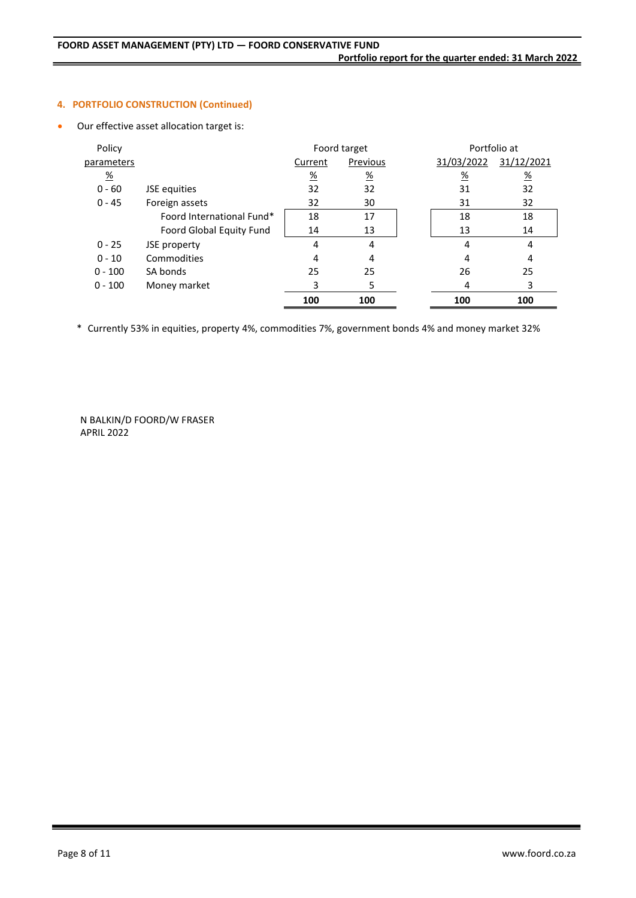## **4. PORTFOLIO CONSTRUCTION (Continued)**

Our effective asset allocation target is:

| Policy          |                           |               | Foord target  |                 | Portfolio at    |
|-----------------|---------------------------|---------------|---------------|-----------------|-----------------|
| parameters      |                           | Current       | Previous      | 31/03/2022      | 31/12/2021      |
| $\frac{\%}{\%}$ |                           | $\frac{9}{6}$ | $\frac{9}{6}$ | $\frac{\%}{\%}$ | $\frac{\%}{\%}$ |
| $0 - 60$        | JSE equities              | 32            | 32            | 31              | 32              |
| $0 - 45$        | Foreign assets            | 32            | 30            | 31              | 32              |
|                 | Foord International Fund* | 18            | 17            | 18              | 18              |
|                 | Foord Global Equity Fund  | 14            | 13            | 13              | 14              |
| $0 - 25$        | JSE property              | 4             | 4             | 4               | 4               |
| $0 - 10$        | Commodities               | 4             | 4             | 4               | 4               |
| $0 - 100$       | SA bonds                  | 25            | 25            | 26              | 25              |
| $0 - 100$       | Money market              | 3             | 5             | 4               | 3               |
|                 |                           | 100           | 100           | 100             | 100             |

\* Currently 53% in equities, property 4%, commodities 7%, government bonds 4% and money market 32%

N BALKIN/D FOORD/W FRASER APRIL 2022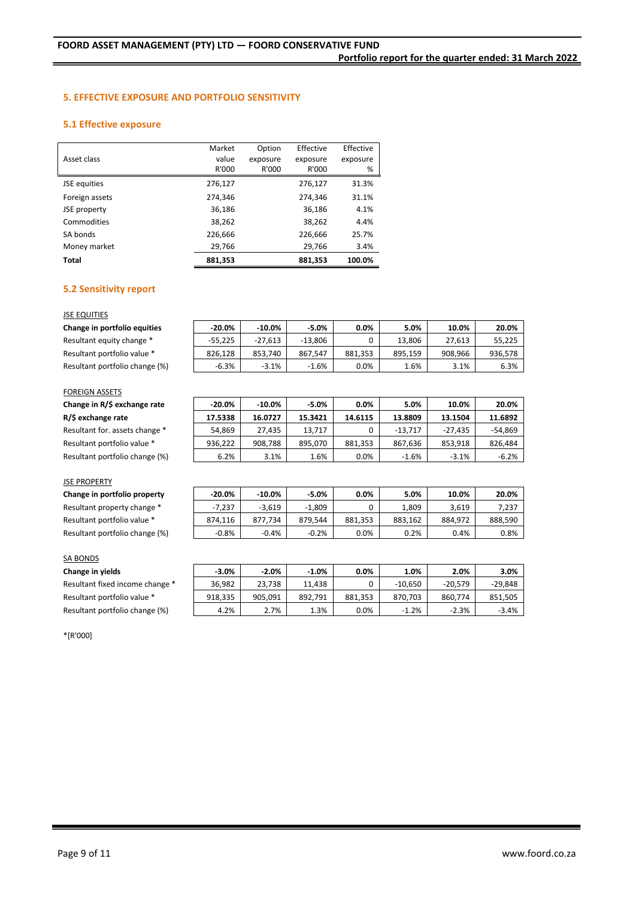## **5. EFFECTIVE EXPOSURE AND PORTFOLIO SENSITIVITY**

#### **5.1 Effective exposure**

|                | Market  | Option   | Effective | Effective |
|----------------|---------|----------|-----------|-----------|
| Asset class    | value   | exposure | exposure  | exposure  |
|                | R'000   | R'000    | R'000     | %         |
| JSE equities   | 276,127 |          | 276,127   | 31.3%     |
| Foreign assets | 274,346 |          | 274,346   | 31.1%     |
| JSE property   | 36,186  |          | 36,186    | 4.1%      |
| Commodities    | 38,262  |          | 38,262    | 4.4%      |
| SA bonds       | 226,666 |          | 226,666   | 25.7%     |
| Money market   | 29,766  |          | 29,766    | 3.4%      |
| Total          | 881,353 |          | 881,353   | 100.0%    |

#### **5.2 Sensitivity report**

#### **JSE EQUITIES**

| Change in portfolio equities   | $-20.0%$  | $-10.0\%$ | $-5.0%$   | 0.0%    | 5.0%    | 10.0%   | 20.0%   |
|--------------------------------|-----------|-----------|-----------|---------|---------|---------|---------|
| Resultant equity change *      | $-55.225$ | $-27.613$ | $-13.806$ |         | 13.806  | 27.613  | 55,225  |
| Resultant portfolio value *    | 826.128   | 853.740   | 867.547   | 881.353 | 895.159 | 908.966 | 936,578 |
| Resultant portfolio change (%) | $-6.3%$   | $-3.1%$   | $-1.6%$   | $0.0\%$ | 1.6%    | 3.1%    | 6.3%    |

#### FOREIGN ASSETS

**R/\$ exchange rate 17.5338 16.0727 15.3421 14.6115 13.8809 13.1504 11.6892**

 $Change in R/$ exchange rate$ 

Resultant for. assets change \* Resultant portfolio value \* Resultant portfolio change (%).

| $-20.0\%$ | $-10.0\%$ | $-5.0%$ | $0.0\%$ | 5.0%      | 10.0%     | 20.0%   |
|-----------|-----------|---------|---------|-----------|-----------|---------|
| 17.5338   | 16.0727   | 15.3421 | 14.6115 | 13.8809   | 13.1504   | 11.6892 |
| 54,869    | 27.435    | 13.717  | 0       | $-13.717$ | $-27.435$ | -54,869 |
| 936.222   | 908.788   | 895.070 | 881,353 | 867,636   | 853.918   | 826,484 |
| 6.2%      | 3.1%      | 1.6%    | 0.0%    | $-1.6%$   | $-3.1%$   | $-6.2%$ |

#### JSE PROPERTY

| Change in portfolio property   | $-20.0\%$ | $-10.0%$ | $-5.0%$  | 0.0%    | 5.0%    | 10.0%   | 20.0%   |
|--------------------------------|-----------|----------|----------|---------|---------|---------|---------|
| Resultant property change *    | $-7.237$  | $-3.619$ | $-1.809$ |         | ـ 809.  | 3.619   | 7.237   |
| Resultant portfolio value *    | 874.116   | 877.734  | 879.544  | 881.353 | 883.162 | 884.972 | 888.590 |
| Resultant portfolio change (%) | -0.8%     | $-0.4%$  | -0.2%    | 0.0%    | 0.2%    | 0.4%    | 0.8%    |

#### SA BONDS

| $-3.0%$ | $-2.0%$ | $-1.0%$ | 0.0%    | $1.0\%$   | 2.0%      | $3.0\%$   |
|---------|---------|---------|---------|-----------|-----------|-----------|
| 36.982  | 23.738  | 11.438  |         | $-10.650$ | $-20.579$ | $-29.848$ |
| 918.335 | 905.091 | 892.791 | 881.353 | 870.703   | 860.774   | 851.505   |
| 4.2%    | 2.7%    | 1.3%    | $0.0\%$ | $-1.2%$   | $-2.3%$   | $-3.4\%$  |
|         |         |         |         |           |           |           |

\*[R'000]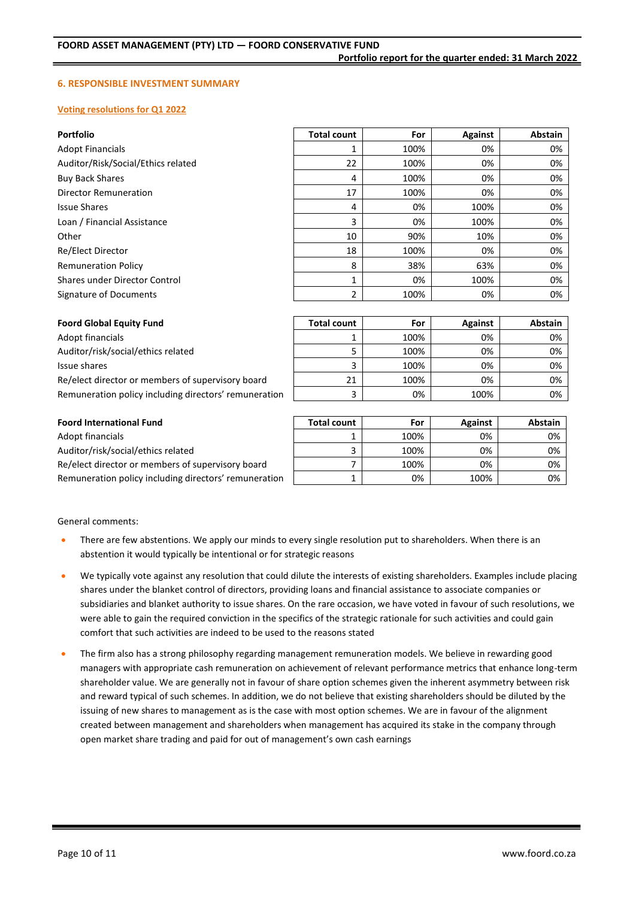#### **6. RESPONSIBLE INVESTMENT SUMMARY**

#### **Voting resolutions for Q1 2022**

| <b>Portfolio</b>                   | <b>Total count</b> | For  | Against        | Abstain |
|------------------------------------|--------------------|------|----------------|---------|
| <b>Adopt Financials</b>            |                    | 100% | 0%             | 0%      |
| Auditor/Risk/Social/Ethics related | 22                 | 100% | 0%             | 0%      |
| <b>Buy Back Shares</b>             | 4                  | 100% | 0%             | 0%      |
| Director Remuneration              | 17                 | 100% | 0%             | 0%      |
| <b>Issue Shares</b>                | 4                  | 0%   | 100%           | 0%      |
| Loan / Financial Assistance        | 3                  | 0%   | 100%           | 0%      |
| Other                              | 10                 | 90%  | 10%            | 0%      |
| Re/Elect Director                  | 18                 | 100% | 0%             | 0%      |
| <b>Remuneration Policy</b>         | 8                  | 38%  | 63%            | 0%      |
| Shares under Director Control      |                    | 0%   | 100%           | 0%      |
| Signature of Documents             | 2                  | 100% | 0%             | 0%      |
|                                    |                    |      |                |         |
| <b>Foord Global Equity Fund</b>    | <b>Total count</b> | For  | <b>Against</b> | Abstain |

| <b>Foord Global Equity Fund</b>                       | <b>Total count</b> | For  | <b>Against</b> | Abstain |
|-------------------------------------------------------|--------------------|------|----------------|---------|
| Adopt financials                                      |                    | 100% | 0%             | 0%      |
| Auditor/risk/social/ethics related                    |                    | 100% | 0%             | 0%      |
| Issue shares                                          |                    | 100% | 0%             | 0%      |
| Re/elect director or members of supervisory board     | 21                 | 100% | 0%             | 0%      |
| Remuneration policy including directors' remuneration |                    | 0%   | 100%           | 0%      |

| <b>Foord International Fund</b>                       | <b>Total count</b> | For  | <b>Against</b> | <b>Abstain</b> |
|-------------------------------------------------------|--------------------|------|----------------|----------------|
| Adopt financials                                      |                    | 100% | 0%             | 0%             |
| Auditor/risk/social/ethics related                    |                    | 100% | 0%             | 0%             |
| Re/elect director or members of supervisory board     |                    | 100% | 0%             | 0%             |
| Remuneration policy including directors' remuneration |                    | 0%   | 100%           | 0%             |

General comments:

- There are few abstentions. We apply our minds to every single resolution put to shareholders. When there is an abstention it would typically be intentional or for strategic reasons
- We typically vote against any resolution that could dilute the interests of existing shareholders. Examples include placing shares under the blanket control of directors, providing loans and financial assistance to associate companies or subsidiaries and blanket authority to issue shares. On the rare occasion, we have voted in favour of such resolutions, we were able to gain the required conviction in the specifics of the strategic rationale for such activities and could gain comfort that such activities are indeed to be used to the reasons stated
- The firm also has a strong philosophy regarding management remuneration models. We believe in rewarding good managers with appropriate cash remuneration on achievement of relevant performance metrics that enhance long-term shareholder value. We are generally not in favour of share option schemes given the inherent asymmetry between risk and reward typical of such schemes. In addition, we do not believe that existing shareholders should be diluted by the issuing of new shares to management as is the case with most option schemes. We are in favour of the alignment created between management and shareholders when management has acquired its stake in the company through open market share trading and paid for out of management's own cash earnings